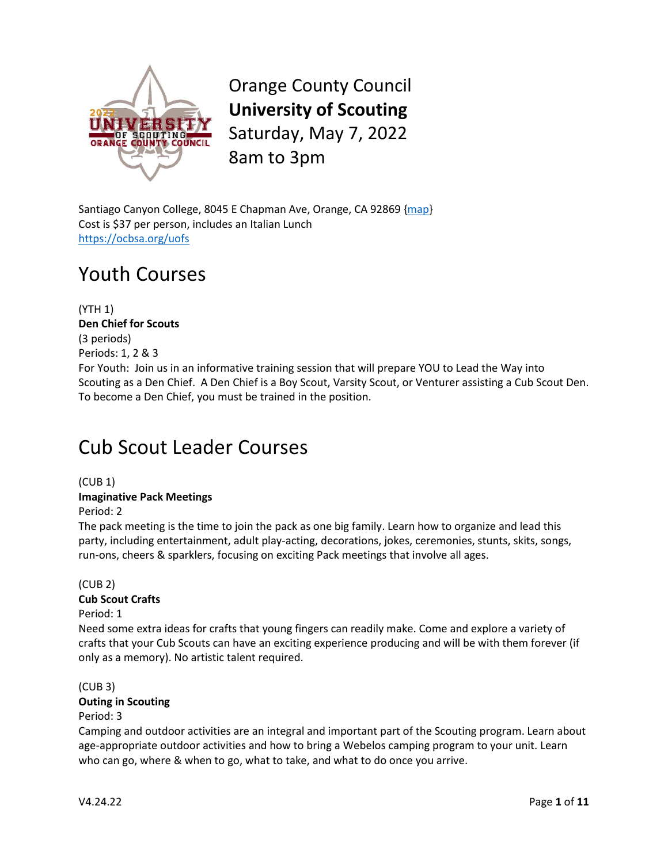

Orange County Council **University of Scouting** Saturday, May 7, 2022 8am to 3pm

Santiago Canyon College, 8045 E Chapman Ave, Orange, CA 92869 [{map}](https://www.google.com/maps/place/Santiago+Canyon+College/@33.7953183,-117.767583,17z/data=!4m12!1m6!3m5!1s0x80dcd1d3bd75c063:0x7c06a51bba343d00!2sSantiago+Canyon+College!8m2!3d33.7953183!4d-117.7653943!3m4!1s0x80dcd1d3bd75c063:0x7c06a51bba343d00!8m2!3d33.7953183!4d-117.7653943) Cost is \$37 per person, includes an Italian Lunch <https://ocbsa.org/uofs>

## Youth Courses

(YTH 1) **Den Chief for Scouts** (3 periods) Periods: 1, 2 & 3 For Youth: Join us in an informative training session that will prepare YOU to Lead the Way into Scouting as a Den Chief. A Den Chief is a Boy Scout, Varsity Scout, or Venturer assisting a Cub Scout Den. To become a Den Chief, you must be trained in the position.

## Cub Scout Leader Courses

(CUB 1) **Imaginative Pack Meetings**

Period: 2

The pack meeting is the time to join the pack as one big family. Learn how to organize and lead this party, including entertainment, adult play-acting, decorations, jokes, ceremonies, stunts, skits, songs, run-ons, cheers & sparklers, focusing on exciting Pack meetings that involve all ages.

## (CUB 2) **Cub Scout Crafts**

Period: 1

Need some extra ideas for crafts that young fingers can readily make. Come and explore a variety of crafts that your Cub Scouts can have an exciting experience producing and will be with them forever (if only as a memory). No artistic talent required.

(CUB 3) **Outing in Scouting** Period: 3

Camping and outdoor activities are an integral and important part of the Scouting program. Learn about age-appropriate outdoor activities and how to bring a Webelos camping program to your unit. Learn who can go, where & when to go, what to take, and what to do once you arrive.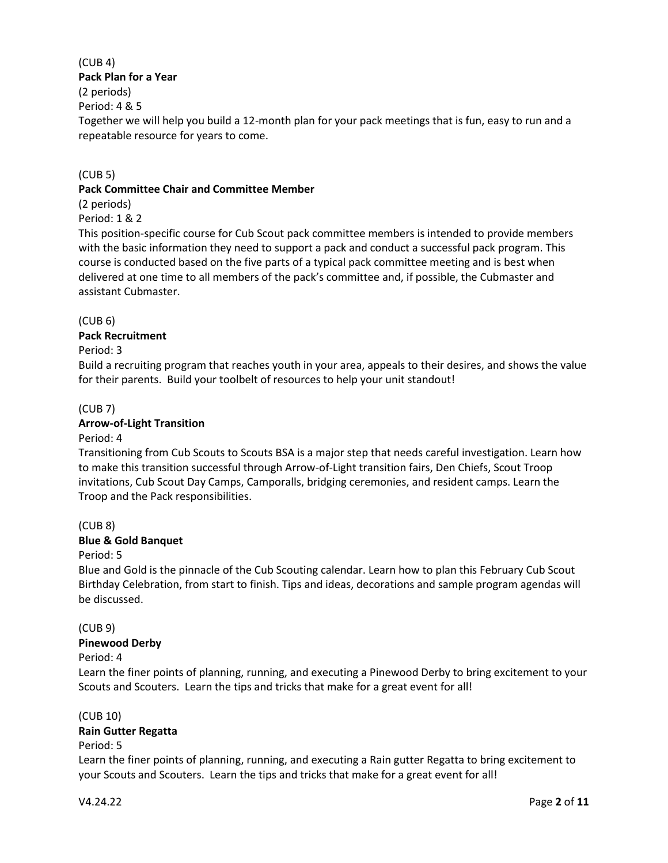#### (CUB 4) **Pack Plan for a Year**

## (2 periods)

Period: 4 & 5

Together we will help you build a 12-month plan for your pack meetings that is fun, easy to run and a repeatable resource for years to come.

## (CUB 5)

## **Pack Committee Chair and Committee Member**

(2 periods)

Period: 1 & 2

This position-specific course for Cub Scout pack committee members is intended to provide members with the basic information they need to support a pack and conduct a successful pack program. This course is conducted based on the five parts of a typical pack committee meeting and is best when delivered at one time to all members of the pack's committee and, if possible, the Cubmaster and assistant Cubmaster.

## (CUB 6)

## **Pack Recruitment**

## Period: 3

Build a recruiting program that reaches youth in your area, appeals to their desires, and shows the value for their parents. Build your toolbelt of resources to help your unit standout!

## (CUB 7)

## **Arrow-of-Light Transition**

## Period: 4

Transitioning from Cub Scouts to Scouts BSA is a major step that needs careful investigation. Learn how to make this transition successful through Arrow-of-Light transition fairs, Den Chiefs, Scout Troop invitations, Cub Scout Day Camps, Camporalls, bridging ceremonies, and resident camps. Learn the Troop and the Pack responsibilities.

## (CUB 8)

## **Blue & Gold Banquet**

## Period: 5

Blue and Gold is the pinnacle of the Cub Scouting calendar. Learn how to plan this February Cub Scout Birthday Celebration, from start to finish. Tips and ideas, decorations and sample program agendas will be discussed.

## (CUB 9)

## **Pinewood Derby**

## Period: 4

Learn the finer points of planning, running, and executing a Pinewood Derby to bring excitement to your Scouts and Scouters. Learn the tips and tricks that make for a great event for all!

## (CUB 10)

## **Rain Gutter Regatta**

## Period: 5

Learn the finer points of planning, running, and executing a Rain gutter Regatta to bring excitement to your Scouts and Scouters. Learn the tips and tricks that make for a great event for all!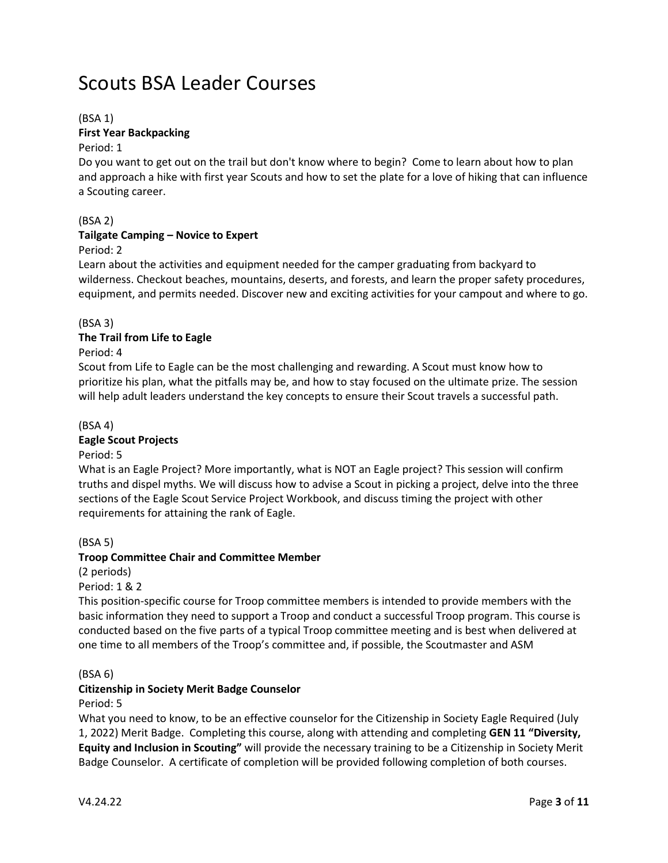## Scouts BSA Leader Courses

## (BSA 1)

## **First Year Backpacking**

### Period: 1

Do you want to get out on the trail but don't know where to begin? Come to learn about how to plan and approach a hike with first year Scouts and how to set the plate for a love of hiking that can influence a Scouting career.

## (BSA 2)

## **Tailgate Camping – Novice to Expert**

## Period: 2

Learn about the activities and equipment needed for the camper graduating from backyard to wilderness. Checkout beaches, mountains, deserts, and forests, and learn the proper safety procedures, equipment, and permits needed. Discover new and exciting activities for your campout and where to go.

## (BSA 3)

## **The Trail from Life to Eagle**

## Period: 4

Scout from Life to Eagle can be the most challenging and rewarding. A Scout must know how to prioritize his plan, what the pitfalls may be, and how to stay focused on the ultimate prize. The session will help adult leaders understand the key concepts to ensure their Scout travels a successful path.

## (BSA 4)

## **Eagle Scout Projects**

## Period: 5

What is an Eagle Project? More importantly, what is NOT an Eagle project? This session will confirm truths and dispel myths. We will discuss how to advise a Scout in picking a project, delve into the three sections of the Eagle Scout Service Project Workbook, and discuss timing the project with other requirements for attaining the rank of Eagle.

## (BSA 5)

## **Troop Committee Chair and Committee Member**

## (2 periods)

Period: 1 & 2

This position-specific course for Troop committee members is intended to provide members with the basic information they need to support a Troop and conduct a successful Troop program. This course is conducted based on the five parts of a typical Troop committee meeting and is best when delivered at one time to all members of the Troop's committee and, if possible, the Scoutmaster and ASM

## (BSA 6)

## **Citizenship in Society Merit Badge Counselor**

## Period: 5

What you need to know, to be an effective counselor for the Citizenship in Society Eagle Required (July 1, 2022) Merit Badge. Completing this course, along with attending and completing **GEN 11 "Diversity, Equity and Inclusion in Scouting"** will provide the necessary training to be a Citizenship in Society Merit Badge Counselor. A certificate of completion will be provided following completion of both courses.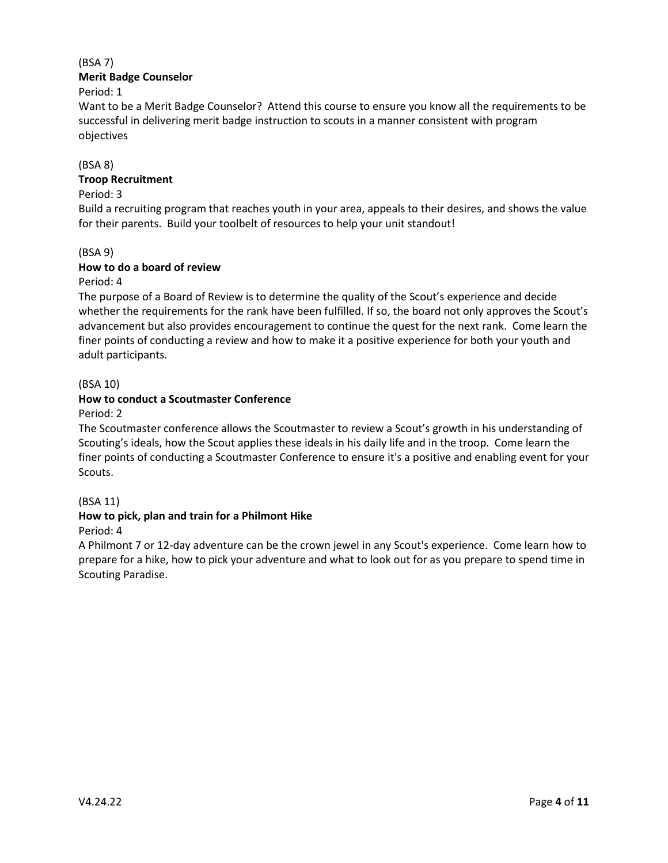## (BSA 7) **Merit Badge Counselor**

Period: 1

Want to be a Merit Badge Counselor? Attend this course to ensure you know all the requirements to be successful in delivering merit badge instruction to scouts in a manner consistent with program objectives

## (BSA 8)

## **Troop Recruitment**

### Period: 3

Build a recruiting program that reaches youth in your area, appeals to their desires, and shows the value for their parents. Build your toolbelt of resources to help your unit standout!

## (BSA 9)

## **How to do a board of review**

Period: 4

The purpose of a Board of Review is to determine the quality of the Scout's experience and decide whether the requirements for the rank have been fulfilled. If so, the board not only approves the Scout's advancement but also provides encouragement to continue the quest for the next rank. Come learn the finer points of conducting a review and how to make it a positive experience for both your youth and adult participants.

## (BSA 10)

## **How to conduct a Scoutmaster Conference**

Period: 2

The Scoutmaster conference allows the Scoutmaster to review a Scout's growth in his understanding of Scouting's ideals, how the Scout applies these ideals in his daily life and in the troop. Come learn the finer points of conducting a Scoutmaster Conference to ensure it's a positive and enabling event for your Scouts.

## (BSA 11)

## **How to pick, plan and train for a Philmont Hike**

Period: 4

A Philmont 7 or 12-day adventure can be the crown jewel in any Scout's experience. Come learn how to prepare for a hike, how to pick your adventure and what to look out for as you prepare to spend time in Scouting Paradise.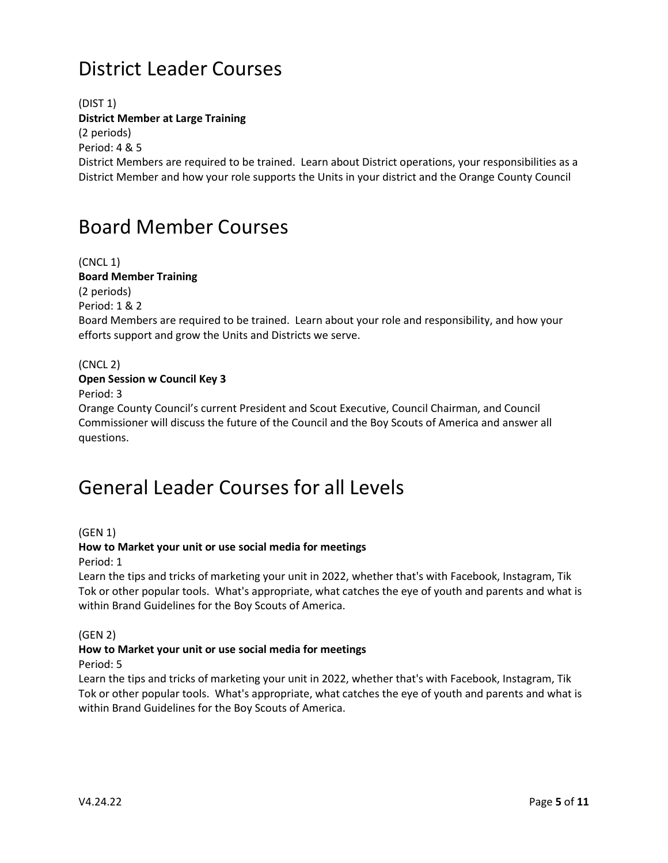# District Leader Courses

(DIST 1) **District Member at Large Training** (2 periods) Period: 4 & 5 District Members are required to be trained. Learn about District operations, your responsibilities as a District Member and how your role supports the Units in your district and the Orange County Council

## Board Member Courses

(CNCL 1) **Board Member Training** (2 periods) Period: 1 & 2 Board Members are required to be trained. Learn about your role and responsibility, and how your efforts support and grow the Units and Districts we serve.

(CNCL 2)

## **Open Session w Council Key 3**

Period: 3

Orange County Council's current President and Scout Executive, Council Chairman, and Council Commissioner will discuss the future of the Council and the Boy Scouts of America and answer all questions.

## General Leader Courses for all Levels

(GEN 1)

#### **How to Market your unit or use social media for meetings**

Period: 1

Learn the tips and tricks of marketing your unit in 2022, whether that's with Facebook, Instagram, Tik Tok or other popular tools. What's appropriate, what catches the eye of youth and parents and what is within Brand Guidelines for the Boy Scouts of America.

(GEN 2)

## **How to Market your unit or use social media for meetings**

Period: 5

Learn the tips and tricks of marketing your unit in 2022, whether that's with Facebook, Instagram, Tik Tok or other popular tools. What's appropriate, what catches the eye of youth and parents and what is within Brand Guidelines for the Boy Scouts of America.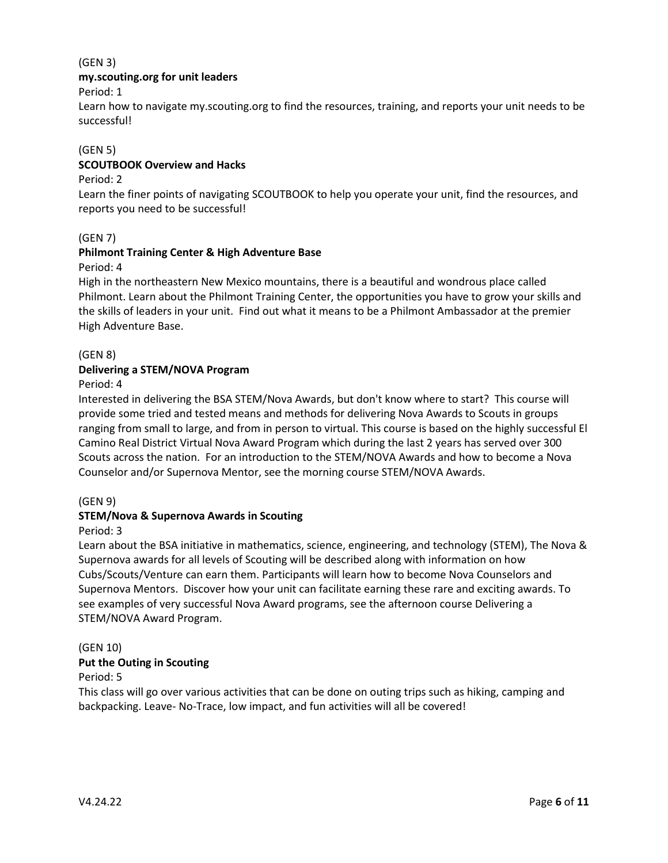## (GEN 3)

## **my.scouting.org for unit leaders**

Period: 1

Learn how to navigate my.scouting.org to find the resources, training, and reports your unit needs to be successful!

## (GEN 5)

## **SCOUTBOOK Overview and Hacks**

## Period: 2

Learn the finer points of navigating SCOUTBOOK to help you operate your unit, find the resources, and reports you need to be successful!

## (GEN 7)

## **Philmont Training Center & High Adventure Base**

Period: 4

High in the northeastern New Mexico mountains, there is a beautiful and wondrous place called Philmont. Learn about the Philmont Training Center, the opportunities you have to grow your skills and the skills of leaders in your unit. Find out what it means to be a Philmont Ambassador at the premier High Adventure Base.

(GEN 8)

## **Delivering a STEM/NOVA Program**

Period: 4

Interested in delivering the BSA STEM/Nova Awards, but don't know where to start? This course will provide some tried and tested means and methods for delivering Nova Awards to Scouts in groups ranging from small to large, and from in person to virtual. This course is based on the highly successful El Camino Real District Virtual Nova Award Program which during the last 2 years has served over 300 Scouts across the nation. For an introduction to the STEM/NOVA Awards and how to become a Nova Counselor and/or Supernova Mentor, see the morning course STEM/NOVA Awards.

## (GEN 9)

## **STEM/Nova & Supernova Awards in Scouting**

Period: 3

Learn about the BSA initiative in mathematics, science, engineering, and technology (STEM), The Nova & Supernova awards for all levels of Scouting will be described along with information on how Cubs/Scouts/Venture can earn them. Participants will learn how to become Nova Counselors and Supernova Mentors. Discover how your unit can facilitate earning these rare and exciting awards. To see examples of very successful Nova Award programs, see the afternoon course Delivering a STEM/NOVA Award Program.

## (GEN 10)

## **Put the Outing in Scouting**

#### Period: 5

This class will go over various activities that can be done on outing trips such as hiking, camping and backpacking. Leave- No-Trace, low impact, and fun activities will all be covered!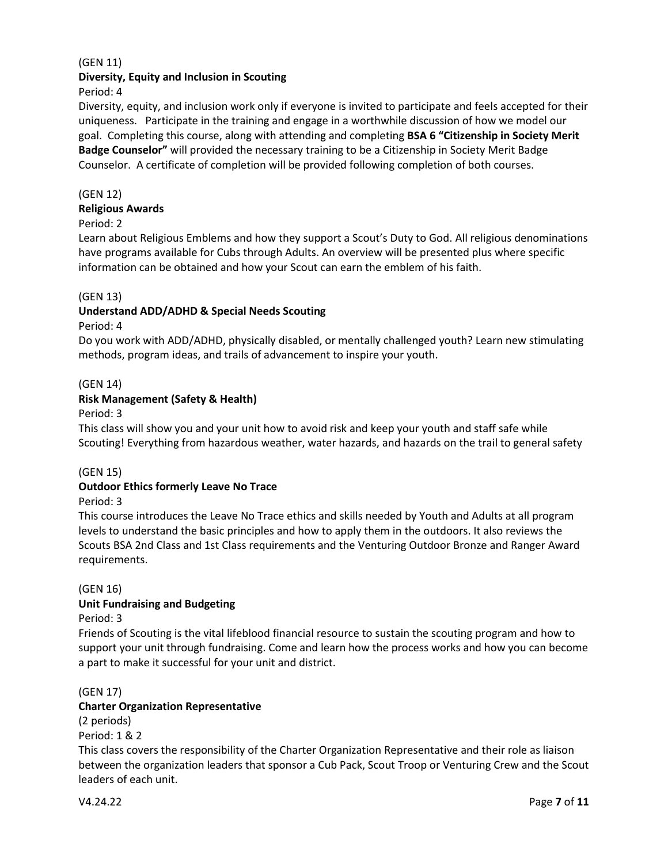## (GEN 11)

#### **Diversity, Equity and Inclusion in Scouting**

Period: 4

Diversity, equity, and inclusion work only if everyone is invited to participate and feels accepted for their uniqueness. Participate in the training and engage in a worthwhile discussion of how we model our goal. Completing this course, along with attending and completing **BSA 6 "Citizenship in Society Merit Badge Counselor"** will provided the necessary training to be a Citizenship in Society Merit Badge Counselor. A certificate of completion will be provided following completion of both courses.

#### (GEN 12)

#### **Religious Awards**

#### Period: 2

Learn about Religious Emblems and how they support a Scout's Duty to God. All religious denominations have programs available for Cubs through Adults. An overview will be presented plus where specific information can be obtained and how your Scout can earn the emblem of his faith.

#### (GEN 13)

## **Understand ADD/ADHD & Special Needs Scouting**

Period: 4

Do you work with ADD/ADHD, physically disabled, or mentally challenged youth? Learn new stimulating methods, program ideas, and trails of advancement to inspire your youth.

#### (GEN 14)

## **Risk Management (Safety & Health)**

Period: 3

This class will show you and your unit how to avoid risk and keep your youth and staff safe while Scouting! Everything from hazardous weather, water hazards, and hazards on the trail to general safety

#### (GEN 15)

## **Outdoor Ethics formerly Leave No Trace**

#### Period: 3

This course introduces the Leave No Trace ethics and skills needed by Youth and Adults at all program levels to understand the basic principles and how to apply them in the outdoors. It also reviews the Scouts BSA 2nd Class and 1st Class requirements and the Venturing Outdoor Bronze and Ranger Award requirements.

#### (GEN 16)

#### **Unit Fundraising and Budgeting**

Period: 3

Friends of Scouting is the vital lifeblood financial resource to sustain the scouting program and how to support your unit through fundraising. Come and learn how the process works and how you can become a part to make it successful for your unit and district.

#### (GEN 17)

#### **Charter Organization Representative**

(2 periods)

Period: 1 & 2

This class covers the responsibility of the Charter Organization Representative and their role as liaison between the organization leaders that sponsor a Cub Pack, Scout Troop or Venturing Crew and the Scout leaders of each unit.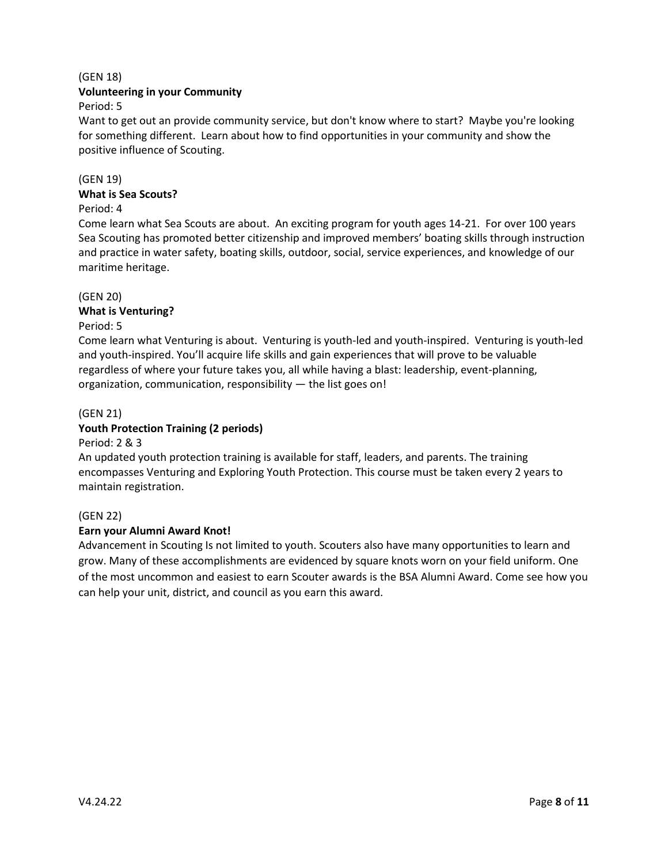## (GEN 18)

## **Volunteering in your Community**

Period: 5

Want to get out an provide community service, but don't know where to start? Maybe you're looking for something different. Learn about how to find opportunities in your community and show the positive influence of Scouting.

### (GEN 19)

#### **What is Sea Scouts?**

### Period: 4

Come learn what Sea Scouts are about. An exciting program for youth ages 14-21. For over 100 years Sea Scouting has promoted better citizenship and improved members' boating skills through instruction and practice in water safety, boating skills, outdoor, social, service experiences, and knowledge of our maritime heritage.

#### (GEN 20)

## **What is Venturing?**

#### Period: 5

Come learn what Venturing is about. Venturing is youth-led and youth-inspired. Venturing is youth-led and youth-inspired. You'll acquire life skills and gain experiences that will prove to be valuable regardless of where your future takes you, all while having a blast: leadership, event-planning, organization, communication, responsibility — the list goes on!

## (GEN 21)

## **Youth Protection Training (2 periods)**

#### Period: 2 & 3

An updated youth protection training is available for staff, leaders, and parents. The training encompasses Venturing and Exploring Youth Protection. This course must be taken every 2 years to maintain registration.

## (GEN 22)

#### **Earn your Alumni Award Knot!**

Advancement in Scouting Is not limited to youth. Scouters also have many opportunities to learn and grow. Many of these accomplishments are evidenced by square knots worn on your field uniform. One of the most uncommon and easiest to earn Scouter awards is the BSA Alumni Award. Come see how you can help your unit, district, and council as you earn this award.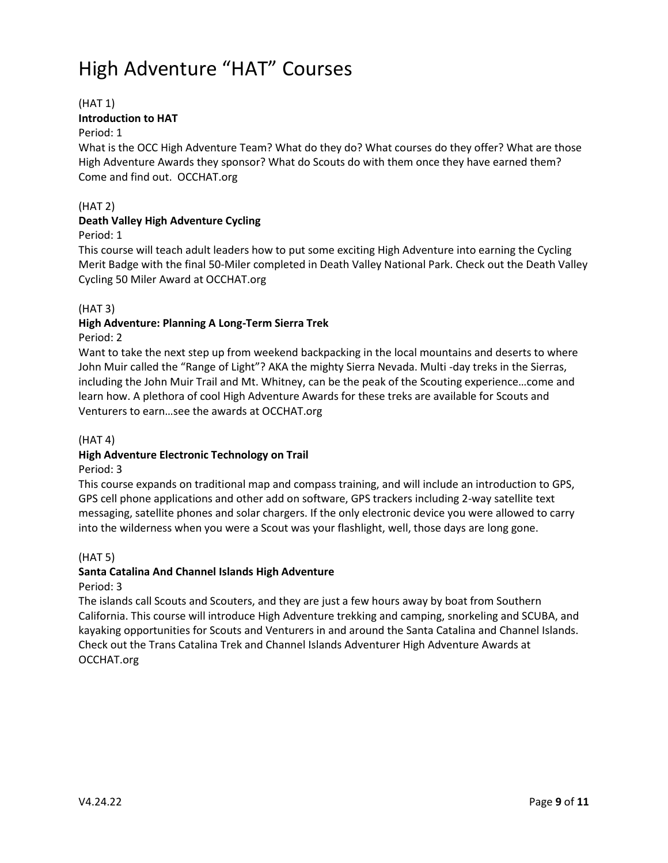# High Adventure "HAT" Courses

## (HAT 1)

## **Introduction to HAT**

## Period: 1

What is the OCC High Adventure Team? What do they do? What courses do they offer? What are those High Adventure Awards they sponsor? What do Scouts do with them once they have earned them? Come and find out. OCCHAT.org

## (HAT 2)

## **Death Valley High Adventure Cycling**

## Period: 1

This course will teach adult leaders how to put some exciting High Adventure into earning the Cycling Merit Badge with the final 50-Miler completed in Death Valley National Park. Check out the Death Valley Cycling 50 Miler Award at OCCHAT.org

## (HAT 3)

### **High Adventure: Planning A Long-Term Sierra Trek** Period: 2

Want to take the next step up from weekend backpacking in the local mountains and deserts to where John Muir called the "Range of Light"? AKA the mighty Sierra Nevada. Multi -day treks in the Sierras, including the John Muir Trail and Mt. Whitney, can be the peak of the Scouting experience…come and learn how. A plethora of cool High Adventure Awards for these treks are available for Scouts and Venturers to earn…see the awards at OCCHAT.org

## $(HAT 4)$

## **High Adventure Electronic Technology on Trail**

## Period: 3

This course expands on traditional map and compass training, and will include an introduction to GPS, GPS cell phone applications and other add on software, GPS trackers including 2-way satellite text messaging, satellite phones and solar chargers. If the only electronic device you were allowed to carry into the wilderness when you were a Scout was your flashlight, well, those days are long gone.

## (HAT 5)

## **Santa Catalina And Channel Islands High Adventure**

## Period: 3

The islands call Scouts and Scouters, and they are just a few hours away by boat from Southern California. This course will introduce High Adventure trekking and camping, snorkeling and SCUBA, and kayaking opportunities for Scouts and Venturers in and around the Santa Catalina and Channel Islands. Check out the Trans Catalina Trek and Channel Islands Adventurer High Adventure Awards at OCCHAT.org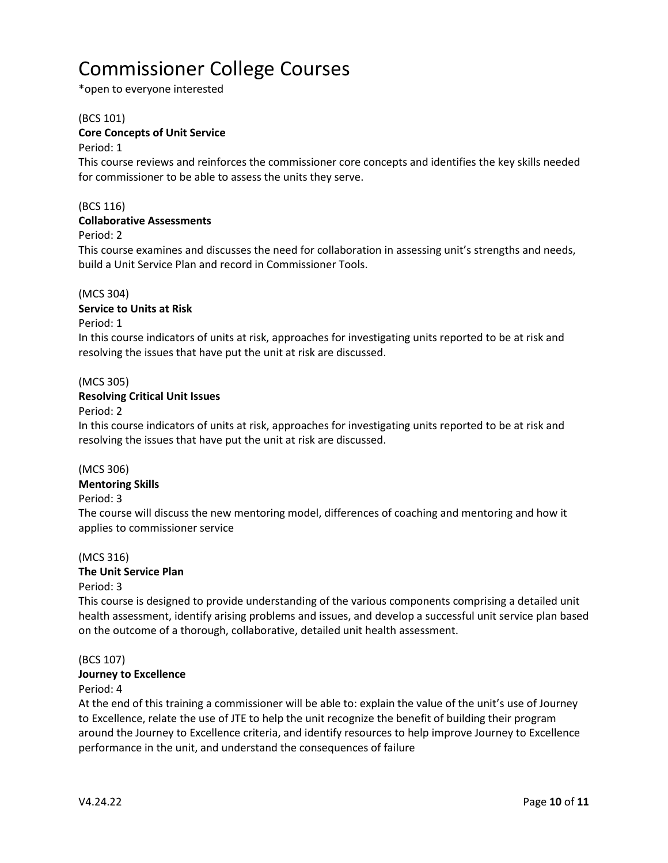# Commissioner College Courses

\*open to everyone interested

#### (BCS 101)

### **Core Concepts of Unit Service**

#### Period: 1

This course reviews and reinforces the commissioner core concepts and identifies the key skills needed for commissioner to be able to assess the units they serve.

## (BCS 116)

#### **Collaborative Assessments**

#### Period: 2

This course examines and discusses the need for collaboration in assessing unit's strengths and needs, build a Unit Service Plan and record in Commissioner Tools.

#### (MCS 304)

#### **Service to Units at Risk**

Period: 1

In this course indicators of units at risk, approaches for investigating units reported to be at risk and resolving the issues that have put the unit at risk are discussed.

#### (MCS 305)

#### **Resolving Critical Unit Issues**

Period: 2

In this course indicators of units at risk, approaches for investigating units reported to be at risk and resolving the issues that have put the unit at risk are discussed.

#### (MCS 306)

## **Mentoring Skills**

## Period: 3

The course will discuss the new mentoring model, differences of coaching and mentoring and how it applies to commissioner service

## (MCS 316)

## **The Unit Service Plan**

## Period: 3

This course is designed to provide understanding of the various components comprising a detailed unit health assessment, identify arising problems and issues, and develop a successful unit service plan based on the outcome of a thorough, collaborative, detailed unit health assessment.

## (BCS 107)

#### **Journey to Excellence**

#### Period: 4

At the end of this training a commissioner will be able to: explain the value of the unit's use of Journey to Excellence, relate the use of JTE to help the unit recognize the benefit of building their program around the Journey to Excellence criteria, and identify resources to help improve Journey to Excellence performance in the unit, and understand the consequences of failure